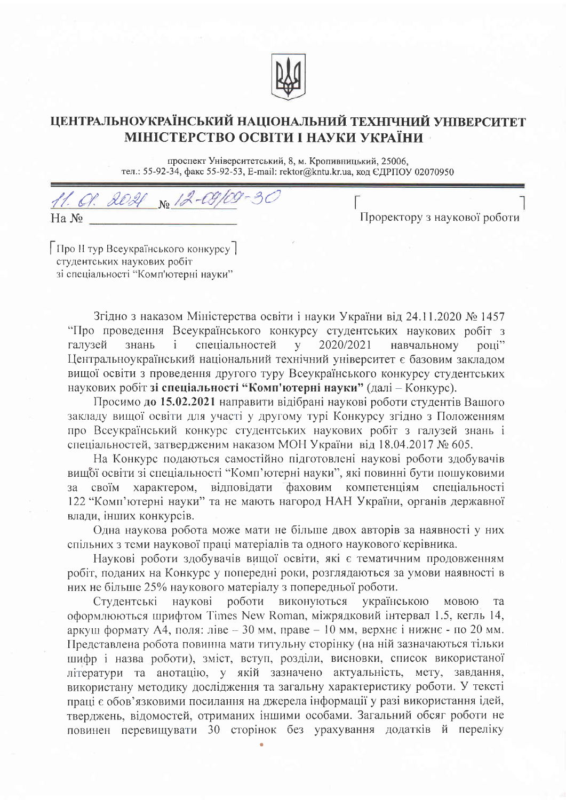

## ЦЕНТРАЛЬНОУКРАЇНСЬКИЙ НАЦІОНАЛЬНИЙ ТЕХНІЧНИЙ УНІВЕРСИТЕТ МІНІСТЕРСТВО ОСВІТИ І НАУКИ УКРАЇНИ

проспект Університетський, 8, м. Кропивницький, 25006, тел.: 55-92-34, факс 55-92-53, E-mail: rektor@kntu.kr.ua, код ЄДРПОУ 02070950

11. 01. 2021 No. 12-09/09-30  $Ha N_2$ 

Проректору з наукової роботи

Про II тур Всеукраїнського конкурсу] студентських наукових робіт зі спеціальності "Комп'ютерні науки"

Згідно з наказом Міністерства освіти і науки України від 24.11.2020 № 1457 "Про проведення Всеукраїнського конкурсу студентських наукових робіт з 2020/2021 галузей знань  $\mathbf{i}$ спеціальностей навчальному  $\mathbf{V}$ році" Центральноукраїнський національний технічний університет є базовим заклалом вищої освіти з проведення другого туру Всеукраїнського конкурсу студентських наукових робіт зі спеціальності "Комп'ютерні науки" (далі - Конкурс).

Просимо до 15.02.2021 направити відібрані наукові роботи студентів Вашого закладу вищої освіти для участі у другому турі Конкурсу згідно з Положенням про Всеукраїнський конкурс студентських наукових робіт з галузей знань і спеціальностей, затвердженим наказом МОН України від 18.04.2017 № 605.

На Конкурс подаються самостійно підготовлені наукові роботи здобувачів вищої освіти зі спеціальності "Комп'ютерні науки", які повинні бути пошуковими своїм характером, відповідати фаховим компетенціям спеціальності  $3a$ 122 "Комп'ютерні науки" та не мають нагород НАН України, органів державної влади, інших конкурсів.

Одна наукова робота може мати не більше двох авторів за наявності у них спільних з теми наукової праці матеріалів та одного наукового керівника.

Наукові роботи здобувачів вищої освіти, які є тематичним продовженням робіт, поданих на Конкурс у попередні роки, розглядаються за умови наявності в них не більше 25% наукового матеріалу з попередньої роботи.

роботи виконуються українською Студентські наукові мовою та оформлюються шрифтом Times New Roman, міжрядковий інтервал 1.5, кегль 14, аркуш формату А4, поля: ліве - 30 мм, праве - 10 мм, верхнє і нижнє - по 20 мм. Представлена робота повинна мати титульну сторінку (на ній зазначаються тільки шифр і назва роботи), зміст, вступ, розділи, висновки, список використаної літератури та анотацію, у якій зазначено актуальність, мету, завдання, використану методику дослідження та загальну характеристику роботи. У тексті праці є обов'язковими посилання на джерела інформації у разі використання ідей, тверджень, відомостей, отриманих іншими особами. Загальний обсяг роботи не повинен перевищувати 30 сторінок без урахування додатків й переліку